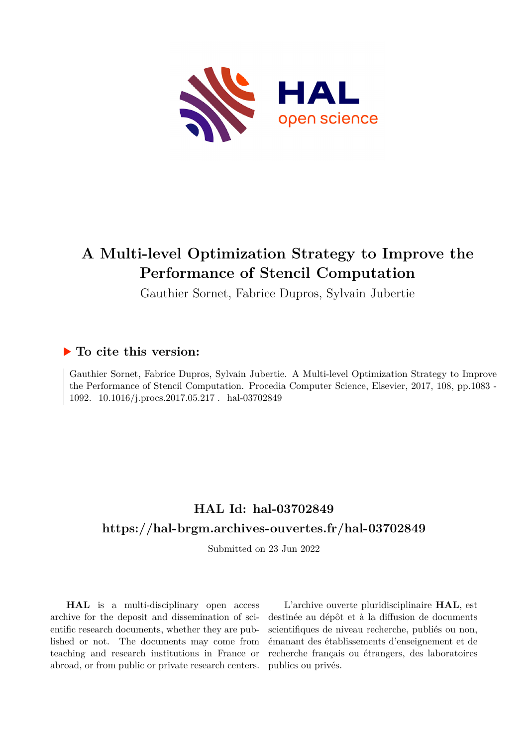

# **A Multi-level Optimization Strategy to Improve the Performance of Stencil Computation**

Gauthier Sornet, Fabrice Dupros, Sylvain Jubertie

# **To cite this version:**

Gauthier Sornet, Fabrice Dupros, Sylvain Jubertie. A Multi-level Optimization Strategy to Improve the Performance of Stencil Computation. Procedia Computer Science, Elsevier, 2017, 108, pp.1083 - 1092. 10.1016/j.procs.2017.05.217 hal-03702849

# **HAL Id: hal-03702849 <https://hal-brgm.archives-ouvertes.fr/hal-03702849>**

Submitted on 23 Jun 2022

**HAL** is a multi-disciplinary open access archive for the deposit and dissemination of scientific research documents, whether they are published or not. The documents may come from teaching and research institutions in France or abroad, or from public or private research centers.

L'archive ouverte pluridisciplinaire **HAL**, est destinée au dépôt et à la diffusion de documents scientifiques de niveau recherche, publiés ou non, émanant des établissements d'enseignement et de recherche français ou étrangers, des laboratoires publics ou privés.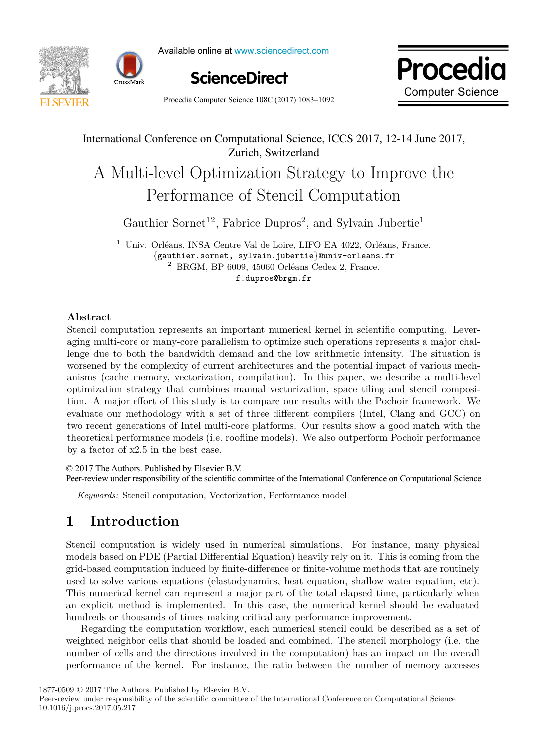



Available online at www.sciencedirect.com





Procedia Computer Science  $108C(2017) 1083-1092$   $-$ 

## International Conference on Computational Science, ICCS 2017, 12-14 June 2017, Zurich, Switzerland

# Performance of Stencil Computation Performance of Stencil Computation A Multi-level Optimization Strategy to Improve the

 $P$ erformance of Stencil Computations of Stencil Computations of Stencil Computations of Stencil Computations of Stencil Computations of Stencil Computations of Stencil Computations of Stencil Computations of Stencil Comp Gauthier Sornet<sup>12</sup>, Fabrice Dupros<sup>2</sup>, and Sylvain Jubertie<sup>1</sup>

 $^1$ Univ. Orléans, INSA Centre Val de Loire, LIFO EA 4022, Orléans, France.  $10^{2}$  univer. Somet, sylval degree  $\alpha$  is  $\alpha$  and  $\alpha$   $\alpha$  and  $\alpha$   $\alpha$   $\beta$  ${g}_{\text{rel}}$ , strate,  $\text{g}_{\text{rel}}$ ,  $\text{g}_{\text{rel}}$ ,  $\text{g}_{\text{rel}}$ ,  $\text{g}_{\text{rel}}$ ,  $\text{g}_{\text{rel}}$ ,  $\text{g}_{\text{rel}}$ ,  $\text{g}_{\text{rel}}$ ,  $\text{g}_{\text{rel}}$ ,  $\text{g}_{\text{rel}}$ ,  $\text{g}_{\text{rel}}$ ,  $\text{g}_{\text{rel}}$ ,  $\text{g}_{\text{rel}}$ ,  $\text{g}_{\text{rel}}$ ,  $\text{g}_{\text{rel}}$ ,  $\text{g$ {gauthier.sornet, sylvain.jubertie}@univ-orleans.fr {gauthier.sornet, sylvain.jubertie}@univ-orleans.fr<br>
<sup>2</sup> BRGM, BP 6009, 45060 Orléans Cedex 2, France.  $\frac{1}{2}$ .sor $\frac{1}{2}$  BRGM,  $\frac{1}{2}$  BRGM,  $\frac{1}{2}$ 

f.dupros@brgm.fr

### **Abstract**

Stencil computation represents an important numerical kernel in scientific computing. Leveraging multi-core or many-core parallelism to optimize such operations represents a major challenge due to both the bandwidth demand and the low arithmetic intensity. The situation is worsened by the complexity of current architectures and the potential impact of various mechanisms (cache memory, vectorization, compilation). In this paper, we describe a multi-level optimization strategy that combines manual vectorization, space tiling and stencil composition tion. A major effort of this study is to compare our results with the Pochoir framework. We evaluate our methodology with a set of three different compilers (Intel, Clang and GCC) on two recent generations of Intel multi-core platforms. Our results show a good match with the theoretical performance models (i.e. roofline models). We also outperform Pochoir performance by a factor of  $x2.5$  in the best case.

© 2017 The Authors. Published by Elsevier B.V.

Peer-review under responsibility of the scientific committee of the International Conference on Computational Science

*Keywords:* Stencil computation, Vectorization, Performance model **1 Introduction**

#### **1 Introduction**  $\mathbf{F}$  introduction is well-defined in numerical simulations. For instance, many physical simulations. For instance, many physical simulations. For instance, many physical simulations. For instance, many physical simulat

Stencil computation is widely used in numerical simulations. For instance, many physical models based on PDE (Partial Differential Equation) heavily rely on it. This is coming from the grid-based computation induced by finite-difference or finite-volume methods that are routinely used to solve various equations (elastodynamics, heat equation, shallow water equation, etc). This numerical kernel can represent a major part of the total elapsed time, particularly when an explicit method is implemented. In this case, the numerical kernel should be evaluated hundreds or thousands of times making critical any performance improvement.

Regarding the computation workflow, each numerical stencil could be described as a set of weighted neighbor cells that should be loaded and combined. The stencil morphology (i.e. the number of cells and the directions involved in the computation) has an impact on the overall performance of the kernel. For instance, the ratio between the number of memory accesses

1877-0509 © 2017 The Authors. Published by Elsevier B.V.

Peer-review under responsibility of the scientific committee of the International Conference on Computational Science 10.1016/j.procs.2017.05.217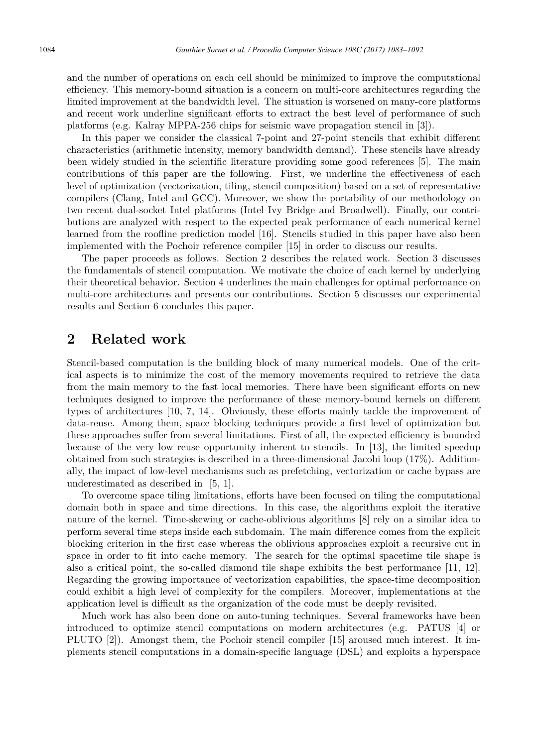and the number of operations on each cell should be minimized to improve the computational efficiency. This memory-bound situation is a concern on multi-core architectures regarding the limited improvement at the bandwidth level. The situation is worsened on many-core platforms and recent work underline significant efforts to extract the best level of performance of such platforms (e.g. Kalray MPPA-256 chips for seismic wave propagation stencil in [3]).

In this paper we consider the classical 7-point and 27-point stencils that exhibit different characteristics (arithmetic intensity, memory bandwidth demand). These stencils have already been widely studied in the scientific literature providing some good references [5]. The main contributions of this paper are the following. First, we underline the effectiveness of each level of optimization (vectorization, tiling, stencil composition) based on a set of representative compilers (Clang, Intel and GCC). Moreover, we show the portability of our methodology on two recent dual-socket Intel platforms (Intel Ivy Bridge and Broadwell). Finally, our contributions are analyzed with respect to the expected peak performance of each numerical kernel learned from the roofline prediction model [16]. Stencils studied in this paper have also been implemented with the Pochoir reference compiler [15] in order to discuss our results.

The paper proceeds as follows. Section 2 describes the related work. Section 3 discusses the fundamentals of stencil computation. We motivate the choice of each kernel by underlying their theoretical behavior. Section 4 underlines the main challenges for optimal performance on multi-core architectures and presents our contributions. Section 5 discusses our experimental results and Section 6 concludes this paper.

### **2 Related work**

Stencil-based computation is the building block of many numerical models. One of the critical aspects is to minimize the cost of the memory movements required to retrieve the data from the main memory to the fast local memories. There have been significant efforts on new techniques designed to improve the performance of these memory-bound kernels on different types of architectures [10, 7, 14]. Obviously, these efforts mainly tackle the improvement of data-reuse. Among them, space blocking techniques provide a first level of optimization but these approaches suffer from several limitations. First of all, the expected efficiency is bounded because of the very low reuse opportunity inherent to stencils. In [13], the limited speedup obtained from such strategies is described in a three-dimensional Jacobi loop (17%). Additionally, the impact of low-level mechanisms such as prefetching, vectorization or cache bypass are underestimated as described in [5, 1].

To overcome space tiling limitations, efforts have been focused on tiling the computational domain both in space and time directions. In this case, the algorithms exploit the iterative nature of the kernel. Time-skewing or cache-oblivious algorithms [8] rely on a similar idea to perform several time steps inside each subdomain. The main difference comes from the explicit blocking criterion in the first case whereas the oblivious approaches exploit a recursive cut in space in order to fit into cache memory. The search for the optimal spacetime tile shape is also a critical point, the so-called diamond tile shape exhibits the best performance [11, 12]. Regarding the growing importance of vectorization capabilities, the space-time decomposition could exhibit a high level of complexity for the compilers. Moreover, implementations at the application level is difficult as the organization of the code must be deeply revisited.

Much work has also been done on auto-tuning techniques. Several frameworks have been introduced to optimize stencil computations on modern architectures (e.g. PATUS [4] or PLUTO [2]). Amongst them, the Pochoir stencil compiler [15] aroused much interest. It implements stencil computations in a domain-specific language (DSL) and exploits a hyperspace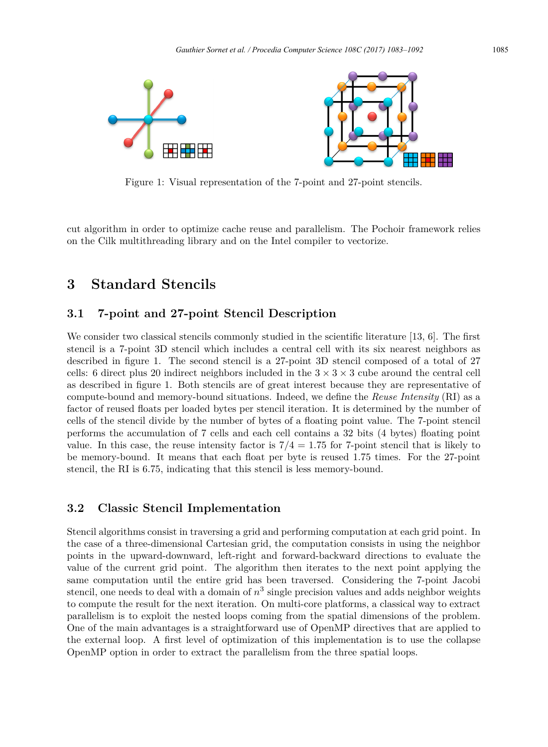

Figure 1: Visual representation of the 7-point and 27-point stencils.

cut algorithm in order to optimize cache reuse and parallelism. The Pochoir framework relies on the Cilk multithreading library and on the Intel compiler to vectorize.

# **3 Standard Stencils**

#### **3.1 7-point and 27-point Stencil Description**

We consider two classical stencils commonly studied in the scientific literature [13, 6]. The first stencil is a 7-point 3D stencil which includes a central cell with its six nearest neighbors as described in figure 1. The second stencil is a 27-point 3D stencil composed of a total of 27 cells: 6 direct plus 20 indirect neighbors included in the  $3 \times 3 \times 3$  cube around the central cell as described in figure 1. Both stencils are of great interest because they are representative of compute-bound and memory-bound situations. Indeed, we define the *Reuse Intensity* (RI) as a factor of reused floats per loaded bytes per stencil iteration. It is determined by the number of cells of the stencil divide by the number of bytes of a floating point value. The 7-point stencil performs the accumulation of 7 cells and each cell contains a 32 bits (4 bytes) floating point value. In this case, the reuse intensity factor is  $7/4 = 1.75$  for 7-point stencil that is likely to be memory-bound. It means that each float per byte is reused 1*.*75 times. For the 27-point stencil, the RI is 6*.*75, indicating that this stencil is less memory-bound.

### **3.2 Classic Stencil Implementation**

Stencil algorithms consist in traversing a grid and performing computation at each grid point. In the case of a three-dimensional Cartesian grid, the computation consists in using the neighbor points in the upward-downward, left-right and forward-backward directions to evaluate the value of the current grid point. The algorithm then iterates to the next point applying the same computation until the entire grid has been traversed. Considering the 7-point Jacobi stencil, one needs to deal with a domain of  $n<sup>3</sup>$  single precision values and adds neighbor weights to compute the result for the next iteration. On multi-core platforms, a classical way to extract parallelism is to exploit the nested loops coming from the spatial dimensions of the problem. One of the main advantages is a straightforward use of OpenMP directives that are applied to the external loop. A first level of optimization of this implementation is to use the collapse OpenMP option in order to extract the parallelism from the three spatial loops.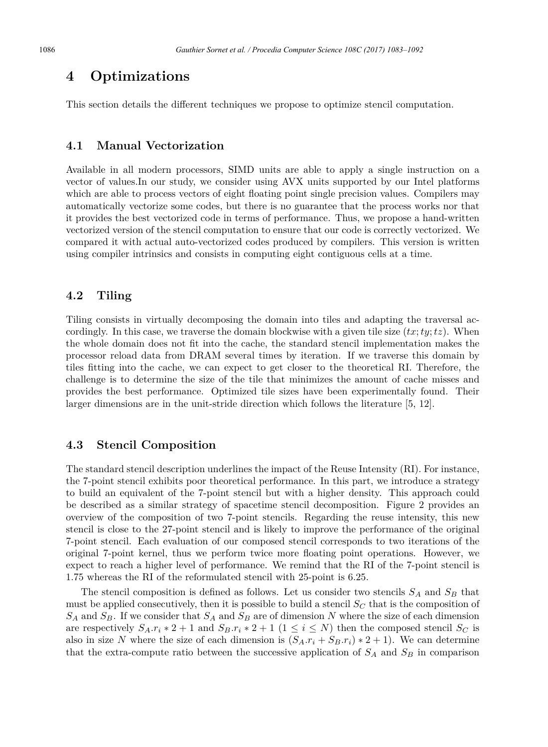### **4 Optimizations**

This section details the different techniques we propose to optimize stencil computation.

#### **4.1 Manual Vectorization**

Available in all modern processors, SIMD units are able to apply a single instruction on a vector of values.In our study, we consider using AVX units supported by our Intel platforms which are able to process vectors of eight floating point single precision values. Compilers may automatically vectorize some codes, but there is no guarantee that the process works nor that it provides the best vectorized code in terms of performance. Thus, we propose a hand-written vectorized version of the stencil computation to ensure that our code is correctly vectorized. We compared it with actual auto-vectorized codes produced by compilers. This version is written using compiler intrinsics and consists in computing eight contiguous cells at a time.

#### **4.2 Tiling**

Tiling consists in virtually decomposing the domain into tiles and adapting the traversal accordingly. In this case, we traverse the domain blockwise with a given tile size  $(tx; ty; tz)$ . When the whole domain does not fit into the cache, the standard stencil implementation makes the processor reload data from DRAM several times by iteration. If we traverse this domain by tiles fitting into the cache, we can expect to get closer to the theoretical RI. Therefore, the challenge is to determine the size of the tile that minimizes the amount of cache misses and provides the best performance. Optimized tile sizes have been experimentally found. Their larger dimensions are in the unit-stride direction which follows the literature [5, 12].

#### **4.3 Stencil Composition**

The standard stencil description underlines the impact of the Reuse Intensity (RI). For instance, the 7-point stencil exhibits poor theoretical performance. In this part, we introduce a strategy to build an equivalent of the 7-point stencil but with a higher density. This approach could be described as a similar strategy of spacetime stencil decomposition. Figure 2 provides an overview of the composition of two 7-point stencils. Regarding the reuse intensity, this new stencil is close to the 27-point stencil and is likely to improve the performance of the original 7-point stencil. Each evaluation of our composed stencil corresponds to two iterations of the original 7-point kernel, thus we perform twice more floating point operations. However, we expect to reach a higher level of performance. We remind that the RI of the 7-point stencil is 1.75 whereas the RI of the reformulated stencil with 25-point is 6.25.

The stencil composition is defined as follows. Let us consider two stencils *S<sup>A</sup>* and *S<sup>B</sup>* that must be applied consecutively, then it is possible to build a stencil *S<sup>C</sup>* that is the composition of *S<sup>A</sup>* and *SB*. If we consider that *S<sup>A</sup>* and *S<sup>B</sup>* are of dimension *N* where the size of each dimension are respectively  $S_A \cdot r_i * 2 + 1$  and  $S_B \cdot r_i * 2 + 1$  ( $1 \le i \le N$ ) then the composed stencil  $S_C$  is also in size *N* where the size of each dimension is  $(S_A.r_i + S_B.r_i) * 2 + 1$ . We can determine that the extra-compute ratio between the successive application of  $S_A$  and  $S_B$  in comparison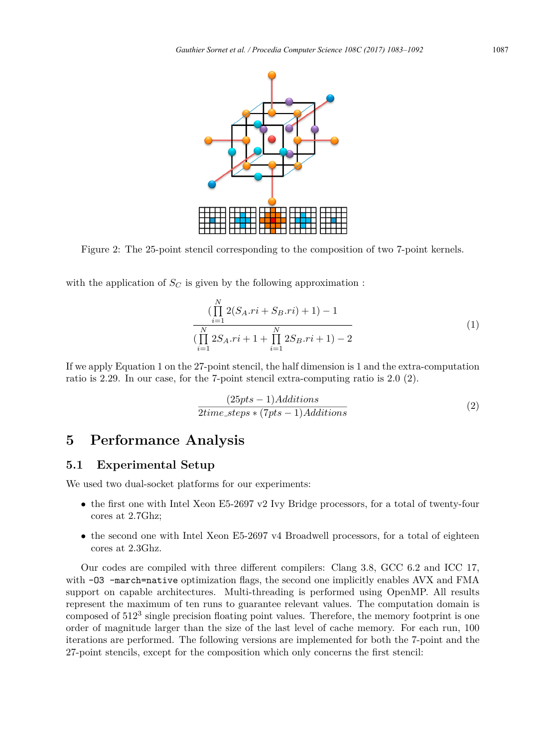

Figure 2: The 25-point stencil corresponding to the composition of two 7-point kernels.

with the application of  $S_C$  is given by the following approximation :

$$
\left(\prod_{i=1}^{N} 2(S_A.r i + S_B.r i) + 1\right) - 1
$$
  

$$
\left(\prod_{i=1}^{N} 2S_A.r i + 1 + \prod_{i=1}^{N} 2S_B.r i + 1\right) - 2
$$
 (1)

If we apply Equation 1 on the 27-point stencil, the half dimension is 1 and the extra-computation ratio is 2.29. In our case, for the 7-point stencil extra-computing ratio is 2.0 (2).

$$
\frac{(25pts - 1)Additions}{2time\_steps * (7pts - 1)Additions} \tag{2}
$$

# **5 Performance Analysis**

#### **5.1 Experimental Setup**

We used two dual-socket platforms for our experiments:

- the first one with Intel Xeon E5-2697 v2 Ivy Bridge processors, for a total of twenty-four cores at 2.7Ghz;
- the second one with Intel Xeon E5-2697 v4 Broadwell processors, for a total of eighteen cores at 2.3Ghz.

Our codes are compiled with three different compilers: Clang 3.8, GCC 6.2 and ICC 17, with -03 -march=native optimization flags, the second one implicitly enables AVX and FMA support on capable architectures. Multi-threading is performed using OpenMP. All results represent the maximum of ten runs to guarantee relevant values. The computation domain is composed of 512<sup>3</sup> single precision floating point values. Therefore, the memory footprint is one order of magnitude larger than the size of the last level of cache memory. For each run, 100 iterations are performed. The following versions are implemented for both the 7-point and the 27-point stencils, except for the composition which only concerns the first stencil: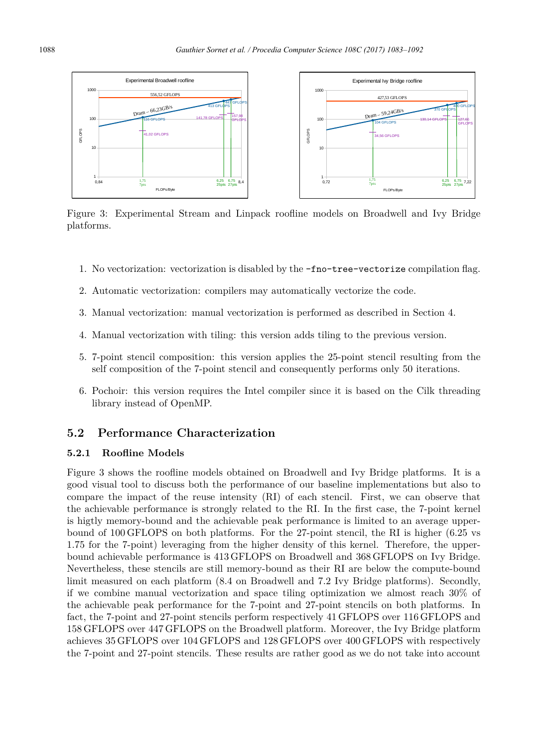

Figure 3: Experimental Stream and Linpack roofline models on Broadwell and Ivy Bridge platforms.

- 1. No vectorization: vectorization is disabled by the -fno-tree-vectorize compilation flag.
- 2. Automatic vectorization: compilers may automatically vectorize the code.
- 3. Manual vectorization: manual vectorization is performed as described in Section 4.
- 4. Manual vectorization with tiling: this version adds tiling to the previous version.
- 5. 7-point stencil composition: this version applies the 25-point stencil resulting from the self composition of the 7-point stencil and consequently performs only 50 iterations.
- 6. Pochoir: this version requires the Intel compiler since it is based on the Cilk threading library instead of OpenMP.

### **5.2 Performance Characterization**

#### **5.2.1 Roofline Models**

Figure 3 shows the roofline models obtained on Broadwell and Ivy Bridge platforms. It is a good visual tool to discuss both the performance of our baseline implementations but also to compare the impact of the reuse intensity (RI) of each stencil. First, we can observe that the achievable performance is strongly related to the RI. In the first case, the 7-point kernel is higtly memory-bound and the achievable peak performance is limited to an average upperbound of 100 GFLOPS on both platforms. For the 27-point stencil, the RI is higher (6.25 vs 1.75 for the 7-point) leveraging from the higher density of this kernel. Therefore, the upperbound achievable performance is 413 GFLOPS on Broadwell and 368 GFLOPS on Ivy Bridge. Nevertheless, these stencils are still memory-bound as their RI are below the compute-bound limit measured on each platform (8.4 on Broadwell and 7.2 Ivy Bridge platforms). Secondly, if we combine manual vectorization and space tiling optimization we almost reach 30% of the achievable peak performance for the 7-point and 27-point stencils on both platforms. In fact, the 7-point and 27-point stencils perform respectively 41 GFLOPS over 116 GFLOPS and 158 GFLOPS over 447 GFLOPS on the Broadwell platform. Moreover, the Ivy Bridge platform achieves 35 GFLOPS over 104 GFLOPS and 128 GFLOPS over 400 GFLOPS with respectively the 7-point and 27-point stencils. These results are rather good as we do not take into account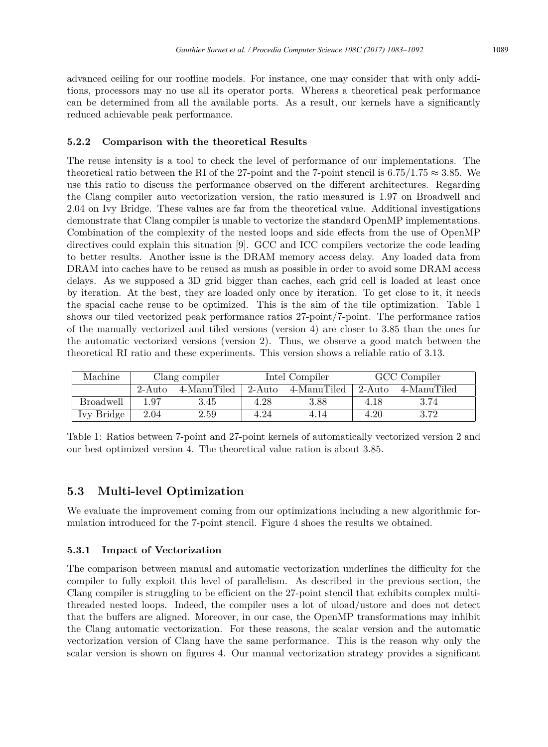advanced ceiling for our roofline models. For instance, one may consider that with only additions, processors may no use all its operator ports. Whereas a theoretical peak performance can be determined from all the available ports. As a result, our kernels have a significantly reduced achievable peak performance.

### **5.2.2 Comparison with the theoretical Results**

The reuse intensity is a tool to check the level of performance of our implementations. The theoretical ratio between the RI of the 27-point and the 7-point stencil is 6.75/1.75  $\approx$  3.85. We use this ratio to discuss the performance observed on the different architectures. Regarding the Clang compiler auto vectorization version, the ratio measured is 1.97 on Broadwell and 2.04 on Ivy Bridge. These values are far from the theoretical value. Additional investigations demonstrate that Clang compiler is unable to vectorize the standard OpenMP implementations. Combination of the complexity of the nested loops and side effects from the use of OpenMP directives could explain this situation [9]. GCC and ICC compilers vectorize the code leading to better results. Another issue is the DRAM memory access delay. Any loaded data from DRAM into caches have to be reused as mush as possible in order to avoid some DRAM access delays. As we supposed a 3D grid bigger than caches, each grid cell is loaded at least once by iteration. At the best, they are loaded only once by iteration. To get close to it, it needs the spacial cache reuse to be optimized. This is the aim of the tile optimization. Table 1 shows our tiled vectorized peak performance ratios 27-point/7-point. The performance ratios of the manually vectorized and tiled versions (version 4) are closer to 3.85 than the ones for the automatic vectorized versions (version 2). Thus, we observe a good match between the theoretical RI ratio and these experiments. This version shows a reliable ratio of 3.13.

| Machine          | Clang compiler |             | Intel Compiler |             | GCC Compiler |             |
|------------------|----------------|-------------|----------------|-------------|--------------|-------------|
|                  | 2-Auto         | 4-ManuTiled | $\pm 2$ -Auto  | 4-ManuTiled | - 2-Auto     | 4-ManuTiled |
| <b>Broadwell</b> | 197            | 3.45        | 4.28           | 3.88        | 4.18         | 3.74        |
| Ivy Bridge       | 2.04           | $2.59\,$    | 4.24           | 4.14        | 4.20         | 3.72        |

Table 1: Ratios between 7-point and 27-point kernels of automatically vectorized version 2 and our best optimized version 4. The theoretical value ration is about 3.85.

### **5.3 Multi-level Optimization**

We evaluate the improvement coming from our optimizations including a new algorithmic formulation introduced for the 7-point stencil. Figure 4 shoes the results we obtained.

### **5.3.1 Impact of Vectorization**

The comparison between manual and automatic vectorization underlines the difficulty for the compiler to fully exploit this level of parallelism. As described in the previous section, the Clang compiler is struggling to be efficient on the 27-point stencil that exhibits complex multithreaded nested loops. Indeed, the compiler uses a lot of uload/ustore and does not detect that the buffers are aligned. Moreover, in our case, the OpenMP transformations may inhibit the Clang automatic vectorization. For these reasons, the scalar version and the automatic vectorization version of Clang have the same performance. This is the reason why only the scalar version is shown on figures 4. Our manual vectorization strategy provides a significant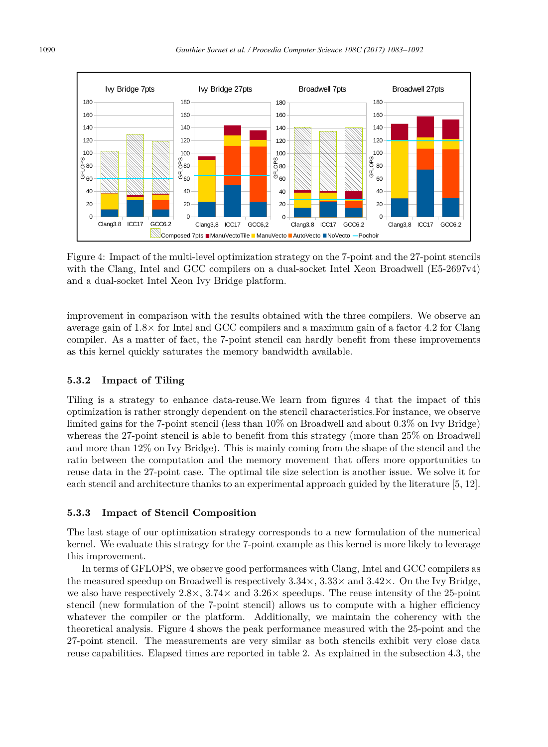

Figure 4: Impact of the multi-level optimization strategy on the 7-point and the 27-point stencils with the Clang, Intel and GCC compilers on a dual-socket Intel Xeon Broadwell (E5-2697v4) and a dual-socket Intel Xeon Ivy Bridge platform.

compiler. As a matter of fact, the 7-point stencil can hardly benefit from these improvements improvement in comparison with the results obtained with the three compilers. We observe an average gain of  $1.8\times$  for Intel and GCC compilers and a maximum gain of a factor 4.2 for Clang as this kernel quickly saturates the memory bandwidth available.

#### **5.3.2 Impact of Tiling**

Tiling is a strategy to enhance data-reuse.We learn from figures 4 that the impact of this optimization is rather strongly dependent on the stencil characteristics.For instance, we observe limited gains for the 7-point stencil (less than 10% on Broadwell and about 0.3% on Ivy Bridge) whereas the 27-point stencil is able to benefit from this strategy (more than 25% on Broadwell and more than 12% on Ivy Bridge). This is mainly coming from the shape of the stencil and the ratio between the computation and the memory movement that offers more opportunities to reuse data in the 27-point case. The optimal tile size selection is another issue. We solve it for each stencil and architecture thanks to an experimental approach guided by the literature [5, 12].

#### **5.3.3 Impact of Stencil Composition**

The last stage of our optimization strategy corresponds to a new formulation of the numerical kernel. We evaluate this strategy for the 7-point example as this kernel is more likely to leverage this improvement.

In terms of GFLOPS, we observe good performances with Clang, Intel and GCC compilers as the measured speedup on Broadwell is respectively  $3.34\times, 3.33\times$  and  $3.42\times$ . On the Ivy Bridge, we also have respectively  $2.8 \times$ ,  $3.74 \times$  and  $3.26 \times$  speedups. The reuse intensity of the 25-point stencil (new formulation of the 7-point stencil) allows us to compute with a higher efficiency whatever the compiler or the platform. Additionally, we maintain the coherency with the theoretical analysis. Figure 4 shows the peak performance measured with the 25-point and the 27-point stencil. The measurements are very similar as both stencils exhibit very close data reuse capabilities. Elapsed times are reported in table 2. As explained in the subsection 4.3, the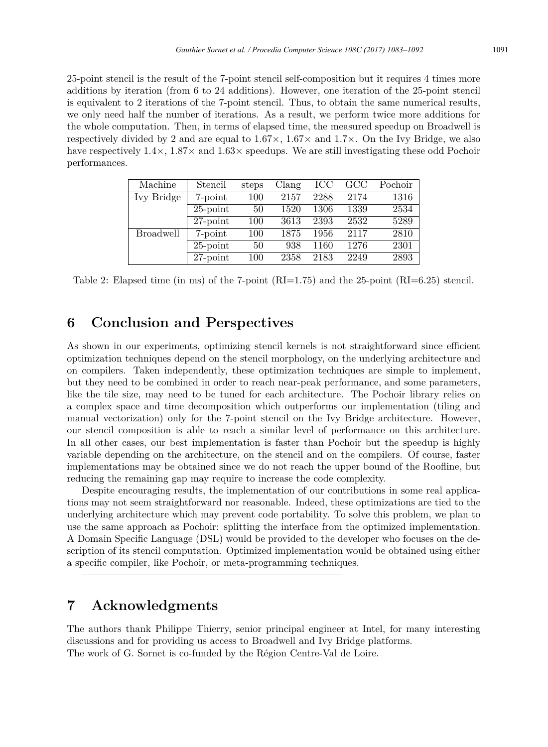25-point stencil is the result of the 7-point stencil self-composition but it requires 4 times more additions by iteration (from 6 to 24 additions). However, one iteration of the 25-point stencil is equivalent to 2 iterations of the 7-point stencil. Thus, to obtain the same numerical results, we only need half the number of iterations. As a result, we perform twice more additions for the whole computation. Then, in terms of elapsed time, the measured speedup on Broadwell is respectively divided by 2 and are equal to  $1.67\times$ ,  $1.67\times$  and  $1.7\times$ . On the Ivy Bridge, we also have respectively  $1.4 \times$ ,  $1.87 \times$  and  $1.63 \times$  speedups. We are still investigating these odd Pochoir performances.

| Machine          | Stencil     | steps | Clang | ICC  | GCC  | Pochoir |
|------------------|-------------|-------|-------|------|------|---------|
| Ivy Bridge       | 7-point     | 100   | 2157  | 2288 | 2174 | 1316    |
|                  | $25$ -point | 50    | 1520  | 1306 | 1339 | 2534    |
|                  | $27$ -point | 100   | 3613  | 2393 | 2532 | 5289    |
| <b>Broadwell</b> | 7-point     | 100   | 1875  | 1956 | 2117 | 2810    |
|                  | $25$ -point | 50    | 938   | 1160 | 1276 | 2301    |
|                  | $27$ -point | 100   | 2358  | 2183 | 2249 | 2893    |

Table 2: Elapsed time (in ms) of the 7-point  $(RI=1.75)$  and the 25-point  $(RI=6.25)$  stencil.

# **6 Conclusion and Perspectives**

As shown in our experiments, optimizing stencil kernels is not straightforward since efficient optimization techniques depend on the stencil morphology, on the underlying architecture and on compilers. Taken independently, these optimization techniques are simple to implement, but they need to be combined in order to reach near-peak performance, and some parameters, like the tile size, may need to be tuned for each architecture. The Pochoir library relies on a complex space and time decomposition which outperforms our implementation (tiling and manual vectorization) only for the 7-point stencil on the Ivy Bridge architecture. However, our stencil composition is able to reach a similar level of performance on this architecture. In all other cases, our best implementation is faster than Pochoir but the speedup is highly variable depending on the architecture, on the stencil and on the compilers. Of course, faster implementations may be obtained since we do not reach the upper bound of the Roofline, but reducing the remaining gap may require to increase the code complexity.

Despite encouraging results, the implementation of our contributions in some real applications may not seem straightforward nor reasonable. Indeed, these optimizations are tied to the underlying architecture which may prevent code portability. To solve this problem, we plan to use the same approach as Pochoir: splitting the interface from the optimized implementation. A Domain Specific Language (DSL) would be provided to the developer who focuses on the description of its stencil computation. Optimized implementation would be obtained using either a specific compiler, like Pochoir, or meta-programming techniques.

——————————————————————————

# **7 Acknowledgments**

The authors thank Philippe Thierry, senior principal engineer at Intel, for many interesting discussions and for providing us access to Broadwell and Ivy Bridge platforms. The work of G. Sornet is co-funded by the Région Centre-Val de Loire.